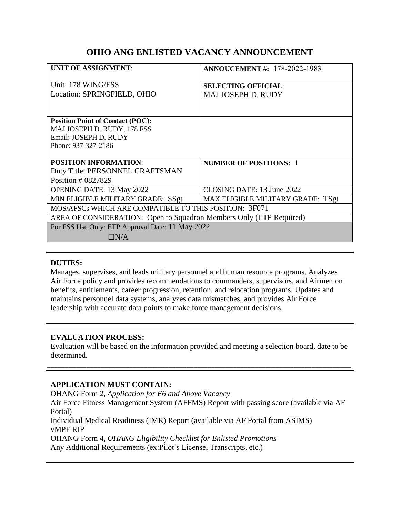# **OHIO ANG ENLISTED VACANCY ANNOUNCEMENT**

| <b>UNIT OF ASSIGNMENT:</b>                                          | <b>ANNOUCEMENT #: 178-2022-1983</b>                     |
|---------------------------------------------------------------------|---------------------------------------------------------|
| Unit: 178 WING/FSS<br>Location: SPRINGFIELD, OHIO                   | <b>SELECTING OFFICIAL:</b><br><b>MAJ JOSEPH D. RUDY</b> |
|                                                                     |                                                         |
| <b>Position Point of Contact (POC):</b>                             |                                                         |
| MAJ JOSEPH D. RUDY, 178 FSS                                         |                                                         |
| Email: JOSEPH D. RUDY                                               |                                                         |
| Phone: 937-327-2186                                                 |                                                         |
|                                                                     |                                                         |
| <b>POSITION INFORMATION:</b>                                        | <b>NUMBER OF POSITIONS: 1</b>                           |
| Duty Title: PERSONNEL CRAFTSMAN                                     |                                                         |
| Position # 0827829                                                  |                                                         |
| <b>OPENING DATE: 13 May 2022</b>                                    | CLOSING DATE: 13 June 2022                              |
| MIN ELIGIBLE MILITARY GRADE: SSgt                                   | MAX ELIGIBLE MILITARY GRADE: TSgt                       |
| MOS/AFSCs WHICH ARE COMPATIBLE TO THIS POSITION: 3F071              |                                                         |
| AREA OF CONSIDERATION: Open to Squadron Members Only (ETP Required) |                                                         |
| For FSS Use Only: ETP Approval Date: 11 May 2022                    |                                                         |
| $\Box N/A$                                                          |                                                         |

### **DUTIES:**

Manages, supervises, and leads military personnel and human resource programs. Analyzes Air Force policy and provides recommendations to commanders, supervisors, and Airmen on benefits, entitlements, career progression, retention, and relocation programs. Updates and maintains personnel data systems, analyzes data mismatches, and provides Air Force leadership with accurate data points to make force management decisions.

### **EVALUATION PROCESS:**

Evaluation will be based on the information provided and meeting a selection board, date to be determined.

\_\_\_\_\_\_\_\_\_\_\_\_\_\_\_\_\_\_\_\_\_\_\_\_\_\_\_\_\_\_\_\_\_\_\_\_\_\_\_\_\_\_\_\_\_\_\_\_\_\_\_\_\_\_\_\_\_\_\_\_\_\_\_\_\_\_\_\_\_\_\_\_\_\_\_\_\_\_\_\_\_\_\_\_\_

# **APPLICATION MUST CONTAIN:**

OHANG Form 2, *Application for E6 and Above Vacancy* Air Force Fitness Management System (AFFMS) Report with passing score (available via AF Portal) Individual Medical Readiness (IMR) Report (available via AF Portal from ASIMS) vMPF RIP OHANG Form 4, *OHANG Eligibility Checklist for Enlisted Promotions* Any Additional Requirements (ex:Pilot's License, Transcripts, etc.)